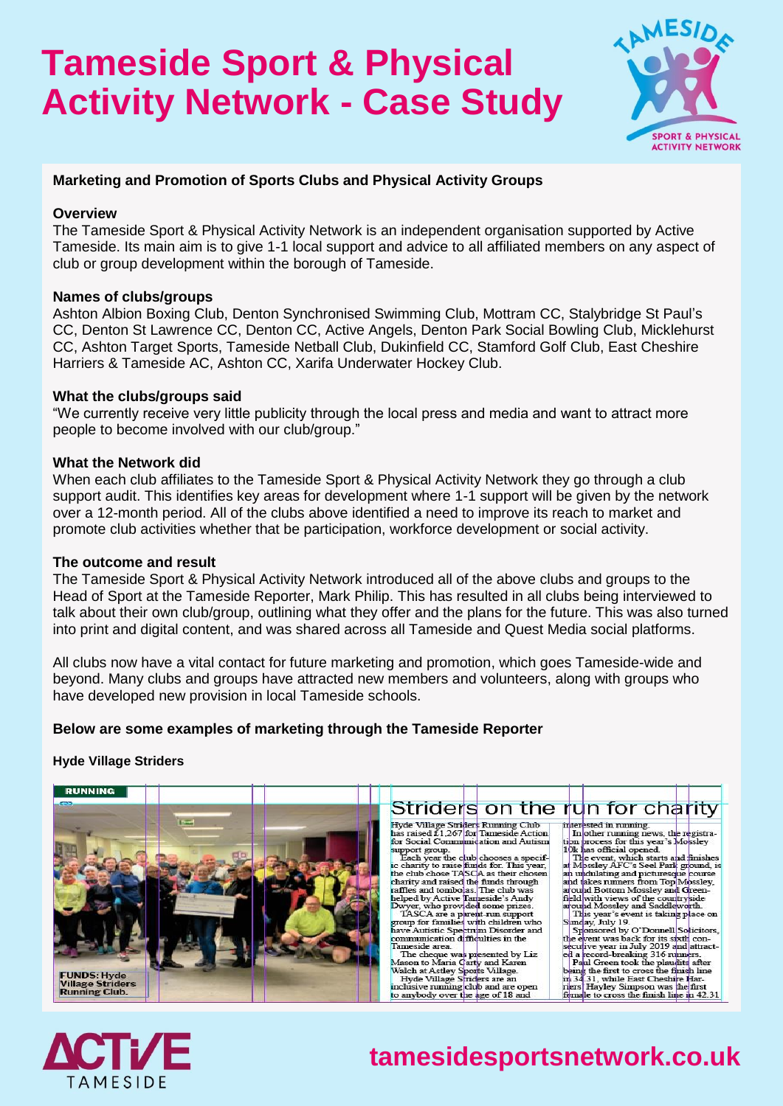# **Tameside Sport & Physical Activity Network - Case Study**



## **Marketing and Promotion of Sports Clubs and Physical Activity Groups**

#### **Overview**

The Tameside Sport & Physical Activity Network is an independent organisation supported by Active Tameside. Its main aim is to give 1-1 local support and advice to all affiliated members on any aspect of club or group development within the borough of Tameside.

### **Names of clubs/groups**

Ashton Albion Boxing Club, Denton Synchronised Swimming Club, Mottram CC, Stalybridge St Paul's CC, Denton St Lawrence CC, Denton CC, Active Angels, Denton Park Social Bowling Club, Micklehurst CC, Ashton Target Sports, Tameside Netball Club, Dukinfield CC, Stamford Golf Club, East Cheshire Harriers & Tameside AC, Ashton CC, Xarifa Underwater Hockey Club.

### **What the clubs/groups said**

"We currently receive very little publicity through the local press and media and want to attract more people to become involved with our club/group."

### **What the Network did**

When each club affiliates to the Tameside Sport & Physical Activity Network they go through a club support audit. This identifies key areas for development where 1-1 support will be given by the network over a 12-month period. All of the clubs above identified a need to improve its reach to market and promote club activities whether that be participation, workforce development or social activity.

#### **The outcome and result**

The Tameside Sport & Physical Activity Network introduced all of the above clubs and groups to the Head of Sport at the Tameside Reporter, Mark Philip. This has resulted in all clubs being interviewed to talk about their own club/group, outlining what they offer and the plans for the future. This was also turned into print and digital content, and was shared across all Tameside and Quest Media social platforms.

All clubs now have a vital contact for future marketing and promotion, which goes Tameside-wide and beyond. Many clubs and groups have attracted new members and volunteers, along with groups who have developed new provision in local Tameside schools.

## **Below are some examples of marketing through the Tameside Reporter**

#### **Hyde Village Striders**





# **tamesidesportsnetwork.co.uk**